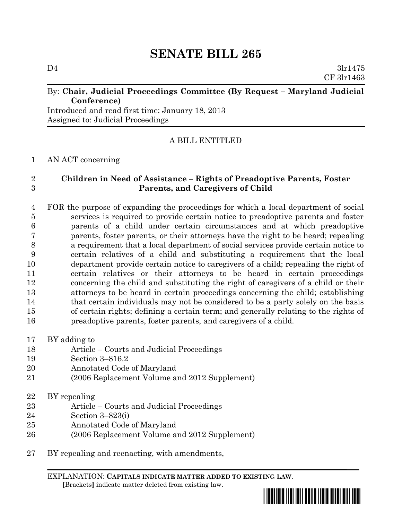# **SENATE BILL 265**

 $D4$   $3l$ r $1475$ CF 3lr1463

### By: Chair, Judicial Proceedings Committee (By Request – Maryland Judicial **Conference)**

Introduced and read first time: January 18, 2013 Assigned to: Judicial Proceedings

# A BILL ENTITLED

#### AN ACT concerning

## **Children in Need of Assistance – Rights of Preadoptive Parents, Foster Parents, and Caregivers of Child**

 FOR the purpose of expanding the proceedings for which a local department of social services is required to provide certain notice to preadoptive parents and foster parents of a child under certain circumstances and at which preadoptive parents, foster parents, or their attorneys have the right to be heard; repealing a requirement that a local department of social services provide certain notice to certain relatives of a child and substituting a requirement that the local department provide certain notice to caregivers of a child; repealing the right of certain relatives or their attorneys to be heard in certain proceedings concerning the child and substituting the right of caregivers of a child or their attorneys to be heard in certain proceedings concerning the child; establishing that certain individuals may not be considered to be a party solely on the basis of certain rights; defining a certain term; and generally relating to the rights of preadoptive parents, foster parents, and caregivers of a child.

- BY adding to
- Article Courts and Judicial Proceedings
- Section 3–816.2
- Annotated Code of Maryland
- (2006 Replacement Volume and 2012 Supplement)
- BY repealing
- Article Courts and Judicial Proceedings
- Section 3–823(i)
- Annotated Code of Maryland
- (2006 Replacement Volume and 2012 Supplement)
- BY repealing and reenacting, with amendments,

EXPLANATION: **CAPITALS INDICATE MATTER ADDED TO EXISTING LAW**.  **[**Brackets**]** indicate matter deleted from existing law.

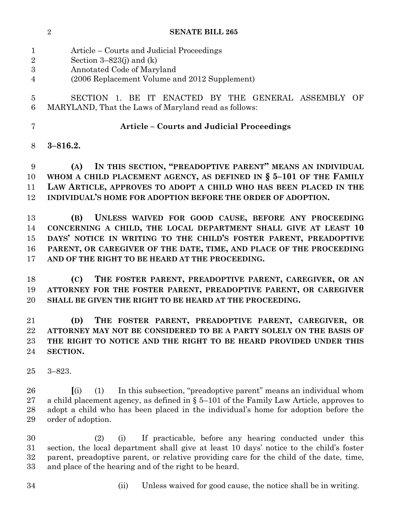#### **SENATE BILL 265**

 Article – Courts and Judicial Proceedings Section 3–823(j) and (k) Annotated Code of Maryland (2006 Replacement Volume and 2012 Supplement) SECTION 1. BE IT ENACTED BY THE GENERAL ASSEMBLY OF MARYLAND, That the Laws of Maryland read as follows: **Article – Courts and Judicial Proceedings 3–816.2. (A) IN THIS SECTION, "PREADOPTIVE PARENT" MEANS AN INDIVIDUAL WHOM A CHILD PLACEMENT AGENCY, AS DEFINED IN § 5–101 OF THE FAMILY LAW ARTICLE, APPROVES TO ADOPT A CHILD WHO HAS BEEN PLACED IN THE INDIVIDUAL'S HOME FOR ADOPTION BEFORE THE ORDER OF ADOPTION. (B) UNLESS WAIVED FOR GOOD CAUSE, BEFORE ANY PROCEEDING CONCERNING A CHILD, THE LOCAL DEPARTMENT SHALL GIVE AT LEAST 10 DAYS' NOTICE IN WRITING TO THE CHILD'S FOSTER PARENT, PREADOPTIVE PARENT, OR CAREGIVER OF THE DATE, TIME, AND PLACE OF THE PROCEEDING AND OF THE RIGHT TO BE HEARD AT THE PROCEEDING. (C) THE FOSTER PARENT, PREADOPTIVE PARENT, CAREGIVER, OR AN ATTORNEY FOR THE FOSTER PARENT, PREADOPTIVE PARENT, OR CAREGIVER SHALL BE GIVEN THE RIGHT TO BE HEARD AT THE PROCEEDING. (D) THE FOSTER PARENT, PREADOPTIVE PARENT, CAREGIVER, OR ATTORNEY MAY NOT BE CONSIDERED TO BE A PARTY SOLELY ON THE BASIS OF THE RIGHT TO NOTICE AND THE RIGHT TO BE HEARD PROVIDED UNDER THIS SECTION.** 3–823. **[**(i) (1) In this subsection, "preadoptive parent" means an individual whom a child placement agency, as defined in § 5–101 of the Family Law Article, approves to adopt a child who has been placed in the individual's home for adoption before the order of adoption. (2) (i) If practicable, before any hearing conducted under this section, the local department shall give at least 10 days' notice to the child's foster parent, preadoptive parent, or relative providing care for the child of the date, time,

- and place of the hearing and of the right to be heard.
- 
- (ii) Unless waived for good cause, the notice shall be in writing.